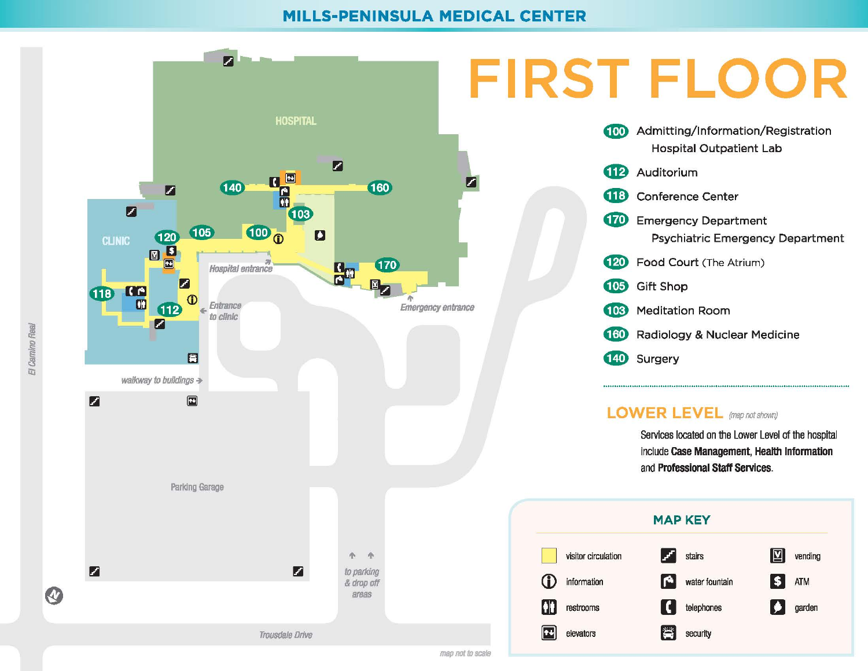### MILLS-PENINSULA MEDICAL CENTER

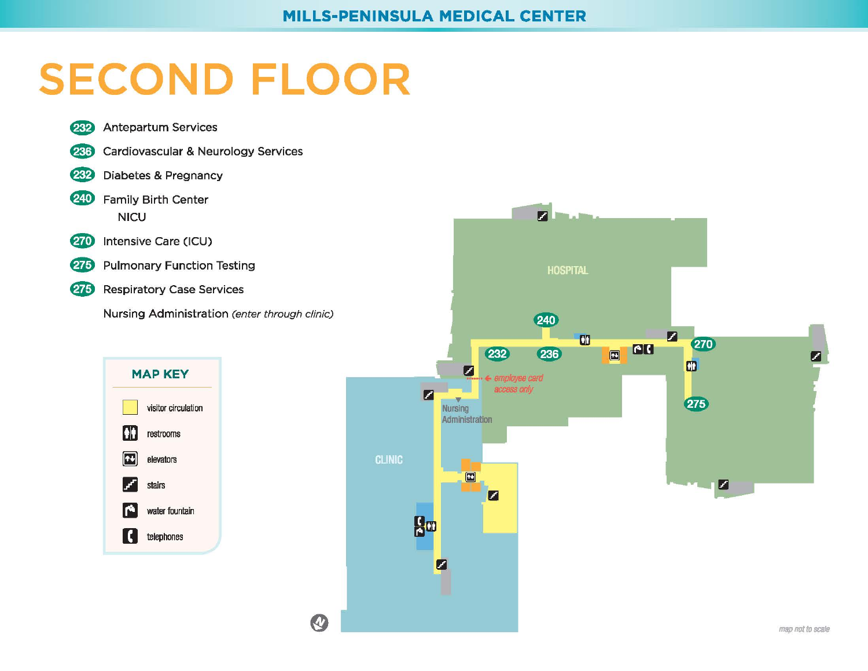### **MILLS-PENINSULA MEDICAL CENTER**

# **SECOND FLOOR**

- **Antepartum Services** 232
- **Cardiovascular & Neurology Services**  $(236)$
- 232 Diabetes & Pregnancy
- 240 Family Birth Center **NICU**
- 270 Intensive Care (ICU)
- 275 Pulmonary Function Testing
- 275 **Respiratory Case Services**

Nursing Administration (enter through clinic)

Q



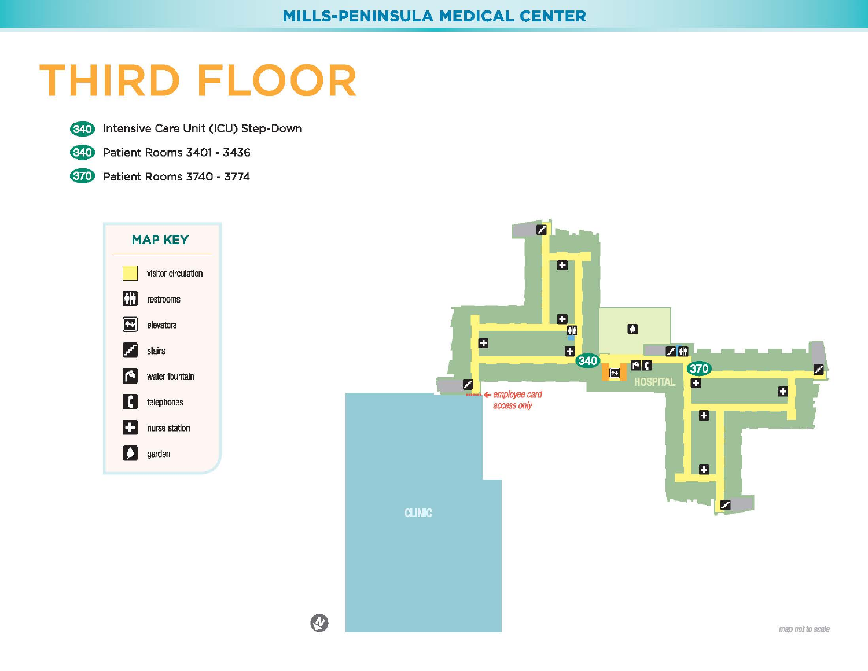# **THIRD FLOOR**

**G40** Intensive Care Unit (ICU) Step-Down



**G<sub>40</sub>** Patient Rooms 3401 - 3436



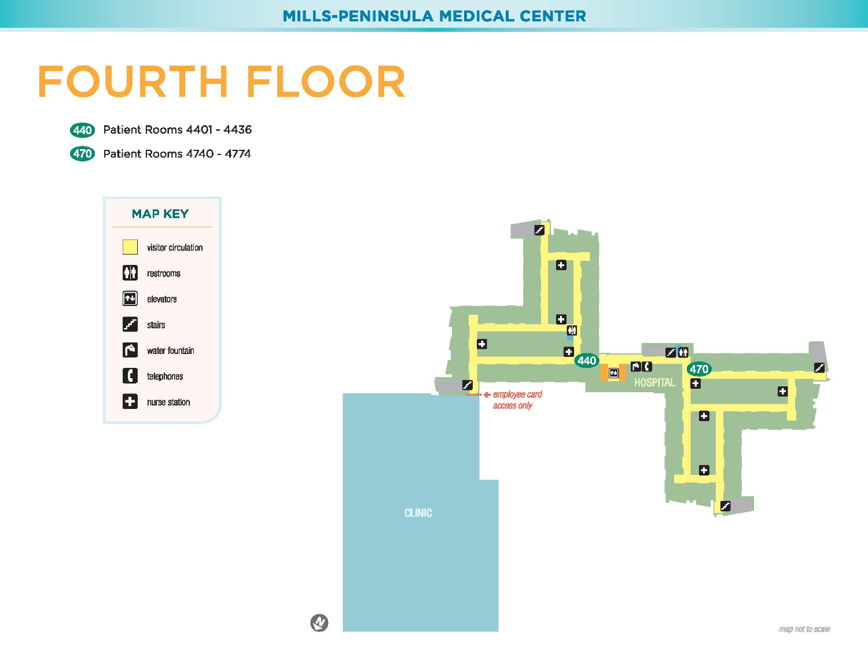### **FOURTH FLOOR**

**8** Patient Rooms 4401 - <sup>4436</sup>